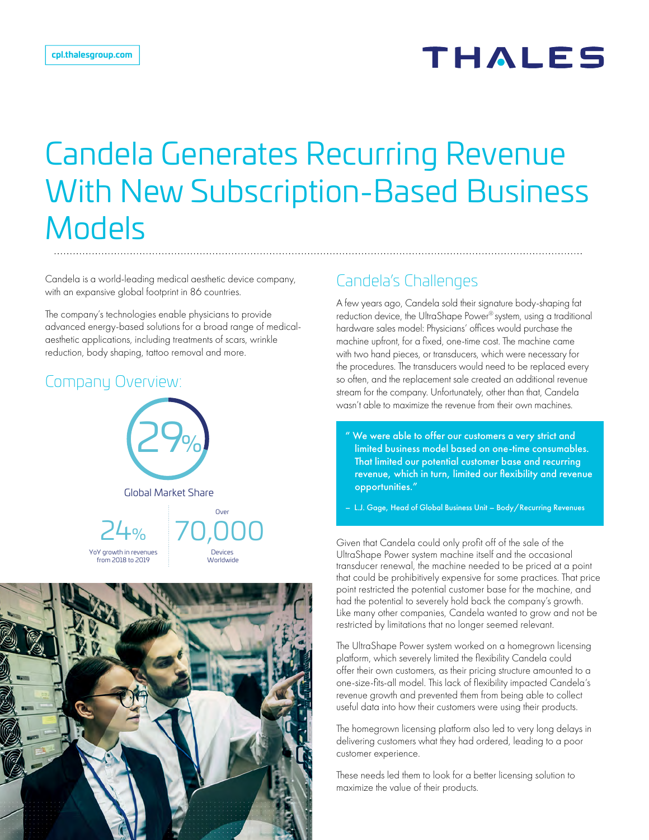# **THALES**

# Candela Generates Recurring Revenue With New Subscription-Based Business **Models**

Candela is a world-leading medical aesthetic device company, with an expansive global footprint in 86 countries.

The company's technologies enable physicians to provide advanced energy-based solutions for a broad range of medicalaesthetic applications, including treatments of scars, wrinkle reduction, body shaping, tattoo removal and more.

#### Company Overview:





### Candela's Challenges

A few years ago, Candela sold their signature body-shaping fat reduction device, the UltraShape Power® system, using a traditional hardware sales model: Physicians' offices would purchase the machine upfront, for a fixed, one-time cost. The machine came with two hand pieces, or transducers, which were necessary for the procedures. The transducers would need to be replaced every so often, and the replacement sale created an additional revenue stream for the company. Unfortunately, other than that, Candela wasn't able to maximize the revenue from their own machines.

" We were able to offer our customers a very strict and limited business model based on one-time consumables. That limited our potential customer base and recurring revenue, which in turn, limited our flexibility and revenue opportunities."

– L.J. Gage, Head of Global Business Unit – Body/Recurring Revenues

Given that Candela could only profit off of the sale of the UltraShape Power system machine itself and the occasional transducer renewal, the machine needed to be priced at a point that could be prohibitively expensive for some practices. That price point restricted the potential customer base for the machine, and had the potential to severely hold back the company's growth. Like many other companies, Candela wanted to grow and not be restricted by limitations that no longer seemed relevant.

The UltraShape Power system worked on a homegrown licensing platform, which severely limited the flexibility Candela could offer their own customers, as their pricing structure amounted to a one-size-fits-all model. This lack of flexibility impacted Candela's revenue growth and prevented them from being able to collect useful data into how their customers were using their products.

The homegrown licensing platform also led to very long delays in delivering customers what they had ordered, leading to a poor customer experience.

These needs led them to look for a better licensing solution to maximize the value of their products.